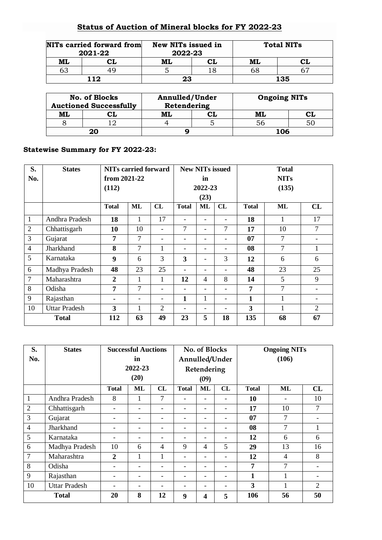## **Status of Auction of Mineral blocks for FY 2022-23**

|    | NITs carried forward from<br>2021-22 | New NITs issued in<br>2022-23 | <b>Total NITs</b> |  |  |
|----|--------------------------------------|-------------------------------|-------------------|--|--|
| ML |                                      |                               | ML                |  |  |
| 63 |                                      |                               | 68                |  |  |
|    | 112                                  | 23                            | 135               |  |  |

|    | No. of Blocks<br><b>Auctioned Successfully</b> | Annulled/Under<br>Retendering | <b>Ongoing NITs</b> |  |  |
|----|------------------------------------------------|-------------------------------|---------------------|--|--|
| ML |                                                | ML                            | ML                  |  |  |
|    |                                                |                               |                     |  |  |
|    | 20                                             |                               | 106                 |  |  |

## **Statewise Summary for FY 2022-23:**

| S.             | <b>States</b>        | <b>NITs carried forward</b> |    |                              | <b>New NITs issued</b> |                |                 | <b>Total</b> |              |                |  |
|----------------|----------------------|-----------------------------|----|------------------------------|------------------------|----------------|-----------------|--------------|--------------|----------------|--|
| No.            |                      | from $2021 - 22$            |    |                              | in                     |                |                 | <b>NITs</b>  |              |                |  |
|                |                      | (112)                       |    |                              | 2022-23                |                |                 | (135)        |              |                |  |
|                |                      |                             |    |                              |                        | (23)           |                 |              |              |                |  |
|                |                      | <b>Total</b>                | ML | CL                           | <b>Total</b>           | <b>ML</b>      | CL              | <b>Total</b> | <b>ML</b>    | CL             |  |
| $\mathbf{1}$   | Andhra Pradesh       | 18                          | 1  | 17                           |                        |                |                 | 18           | 1            | 17             |  |
| $\overline{2}$ | Chhattisgarh         | 10                          | 10 | $\qquad \qquad \blacksquare$ | 7                      |                | $\overline{7}$  | 17           | 10           | $\overline{7}$ |  |
| $\overline{3}$ | Gujarat              | 7                           | 7  | $\overline{\phantom{0}}$     |                        |                | ۰               | 07           | 7            |                |  |
| $\overline{4}$ | Jharkhand            | 8                           | 7  | 1                            |                        |                |                 | 08           | 7            | 1              |  |
| 5              | Karnataka            | 9                           | 6  | 3                            | 3                      |                | 3               | 12           | 6            | 6              |  |
| 6              | Madhya Pradesh       | 48                          | 23 | 25                           |                        |                |                 | 48           | 23           | 25             |  |
| $\overline{7}$ | Maharashtra          | $\overline{2}$              | 1  | 1                            | 12                     | $\overline{4}$ | 8               | 14           | 5            | 9              |  |
| 8              | Odisha               | 7                           | 7  | $\overline{\phantom{0}}$     |                        |                |                 | 7            | 7            |                |  |
| 9              | Rajasthan            |                             |    | -                            | 1                      | 1              | $\qquad \qquad$ | 1            | $\mathbf{1}$ | -              |  |
| 10             | <b>Uttar Pradesh</b> | 3                           | 1  | $\overline{2}$               |                        |                |                 | 3            | 1            | $\overline{2}$ |  |
| <b>Total</b>   |                      | 112                         | 63 | 49                           | 23                     | 5              | 18              | 135          | 68           | 67             |  |

| S.             | <b>States</b>        | <b>Successful Auctions</b> |                          |                          | No. of Blocks            |                |                          | <b>Ongoing NITs</b> |    |                |  |
|----------------|----------------------|----------------------------|--------------------------|--------------------------|--------------------------|----------------|--------------------------|---------------------|----|----------------|--|
| No.            |                      | in                         |                          |                          | Annulled/Under           |                |                          | (106)               |    |                |  |
|                |                      | 2022-23                    |                          |                          | Retendering              |                |                          |                     |    |                |  |
|                |                      | (20)                       |                          |                          | (09)                     |                |                          |                     |    |                |  |
|                |                      | <b>Total</b>               | <b>ML</b>                | CL                       | <b>Total</b>             | ML             | CL                       | <b>Total</b>        | ML | CL             |  |
| $\mathbf{1}$   | Andhra Pradesh       | 8                          |                          | 7                        |                          |                |                          | 10                  |    | 10             |  |
| $\overline{2}$ | Chhattisgarh         |                            |                          |                          |                          |                |                          | 17                  | 10 | 7              |  |
| 3              | Gujarat              |                            | -                        | $\overline{\phantom{0}}$ | -                        | -              | -                        | 07                  | 7  |                |  |
| $\overline{4}$ | Jharkhand            |                            | $\overline{\phantom{0}}$ | -                        |                          | -              |                          | 08                  | 7  | 1              |  |
| 5              | Karnataka            | -                          | -                        | -                        | -                        | -              |                          | 12                  | 6  | 6              |  |
| 6              | Madhya Pradesh       | 10                         | 6                        | $\overline{4}$           | 9                        | $\overline{4}$ | 5                        | 29                  | 13 | 16             |  |
| $\overline{7}$ | Maharashtra          | $\overline{2}$             | 1                        | $\mathbf{1}$             | $\overline{\phantom{0}}$ | -              | -                        | 12                  | 4  | 8              |  |
| 8              | Odisha               | -                          | -                        | -                        | -                        | -              |                          | 7                   | 7  |                |  |
| 9              | Rajasthan            |                            |                          |                          |                          |                |                          | 1                   | 1  |                |  |
| 10             | <b>Uttar Pradesh</b> |                            | -                        | -                        | -                        | -              | $\overline{\phantom{0}}$ | 3                   | 1  | $\overline{2}$ |  |
| <b>Total</b>   |                      | 20                         | 8                        | 12                       | 9                        | 4              | 5                        | 106                 | 56 | 50             |  |